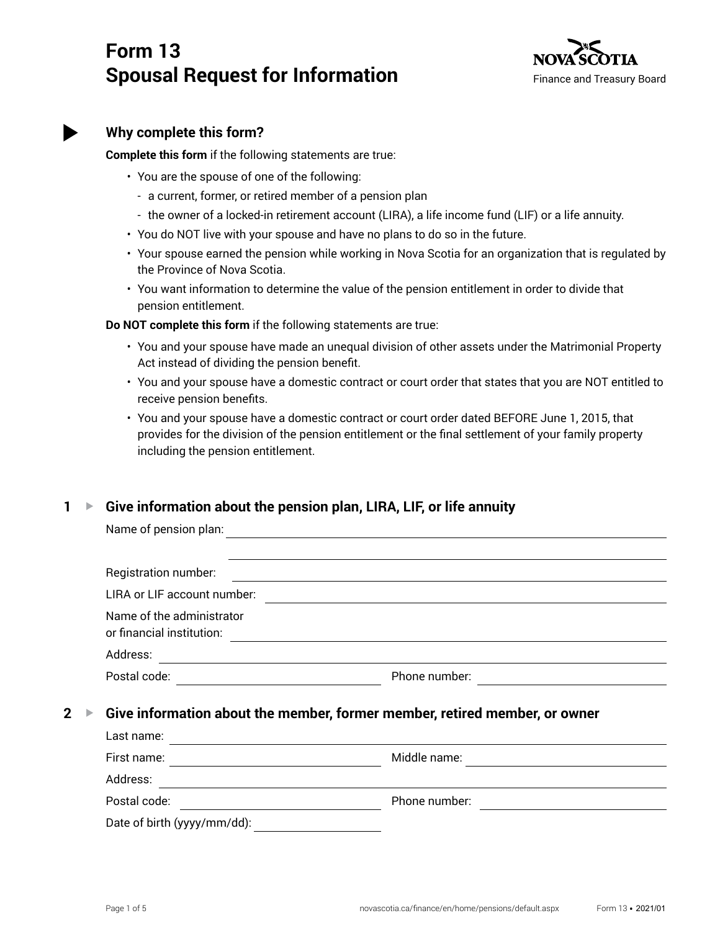# **Form 13 Spousal Request for Information**



# **Why complete this form?**

**Complete this form** if the following statements are true:

- You are the spouse of one of the following:
	- a current, former, or retired member of a pension plan
	- the owner of a locked-in retirement account (LIRA), a life income fund (LIF) or a life annuity.
- You do NOT live with your spouse and have no plans to do so in the future.
- Your spouse earned the pension while working in Nova Scotia for an organization that is regulated by the Province of Nova Scotia.
- You want information to determine the value of the pension entitlement in order to divide that pension entitlement.

**Do NOT complete this form** if the following statements are true:

- You and your spouse have made an unequal division of other assets under the Matrimonial Property Act instead of dividing the pension benefit.
- You and your spouse have a domestic contract or court order that states that you are NOT entitled to receive pension benefits.
- You and your spouse have a domestic contract or court order dated BEFORE June 1, 2015, that provides for the division of the pension entitlement or the final settlement of your family property including the pension entitlement.

# **1 ▶ Give information about the pension plan, LIRA, LIF, or life annuity**

|                 |                                                                            | Name of pension plan:                                  |               |  |
|-----------------|----------------------------------------------------------------------------|--------------------------------------------------------|---------------|--|
|                 |                                                                            |                                                        |               |  |
|                 |                                                                            | Registration number:                                   |               |  |
|                 |                                                                            | LIRA or LIF account number:                            |               |  |
|                 |                                                                            | Name of the administrator<br>or financial institution: |               |  |
|                 |                                                                            | Address:                                               |               |  |
|                 |                                                                            | Postal code:                                           | Phone number: |  |
| $2 \rightarrow$ | Give information about the member, former member, retired member, or owner |                                                        |               |  |
|                 |                                                                            | Last name:                                             |               |  |
|                 |                                                                            | First name:                                            | Middle name:  |  |

Address: Postal code: example a set of the phone number: Phone number: Date of birth (yyyy/mm/dd):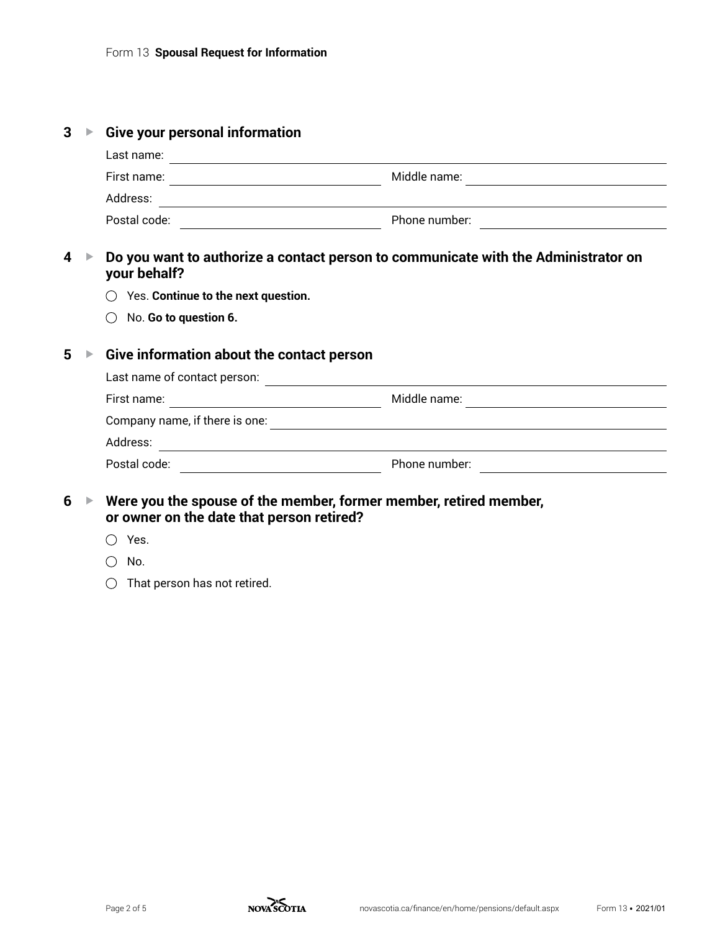| 3 | ▶                     | <b>Give your personal information</b>                                                                                            |               |  |  |
|---|-----------------------|----------------------------------------------------------------------------------------------------------------------------------|---------------|--|--|
|   |                       | Last name:                                                                                                                       |               |  |  |
|   |                       |                                                                                                                                  |               |  |  |
|   |                       | Address:<br><u> 1989 - Andrea State Barbara, amerikan basar dan berasal dan berasal dalam basa dan berasal dan berasal dalam</u> |               |  |  |
|   |                       | Postal code:<br><u> 1980 - Johann Barnett, fransk politik (</u>                                                                  | Phone number: |  |  |
| 4 | ▶                     | Do you want to authorize a contact person to communicate with the Administrator on<br>your behalf?                               |               |  |  |
|   |                       | Yes. Continue to the next question.                                                                                              |               |  |  |
|   |                       | No. Go to question 6.                                                                                                            |               |  |  |
| 5 | $\blacktriangleright$ | Give information about the contact person                                                                                        |               |  |  |
|   |                       |                                                                                                                                  |               |  |  |
|   |                       |                                                                                                                                  |               |  |  |
|   |                       |                                                                                                                                  |               |  |  |
|   |                       |                                                                                                                                  |               |  |  |
|   |                       |                                                                                                                                  |               |  |  |
| 6 | $\blacktriangleright$ | Were you the spouse of the member, former member, retired member,<br>or owner on the date that person retired?                   |               |  |  |
|   |                       | Yes.                                                                                                                             |               |  |  |

- $\bigcirc$  No.
- $\bigcirc$  That person has not retired.

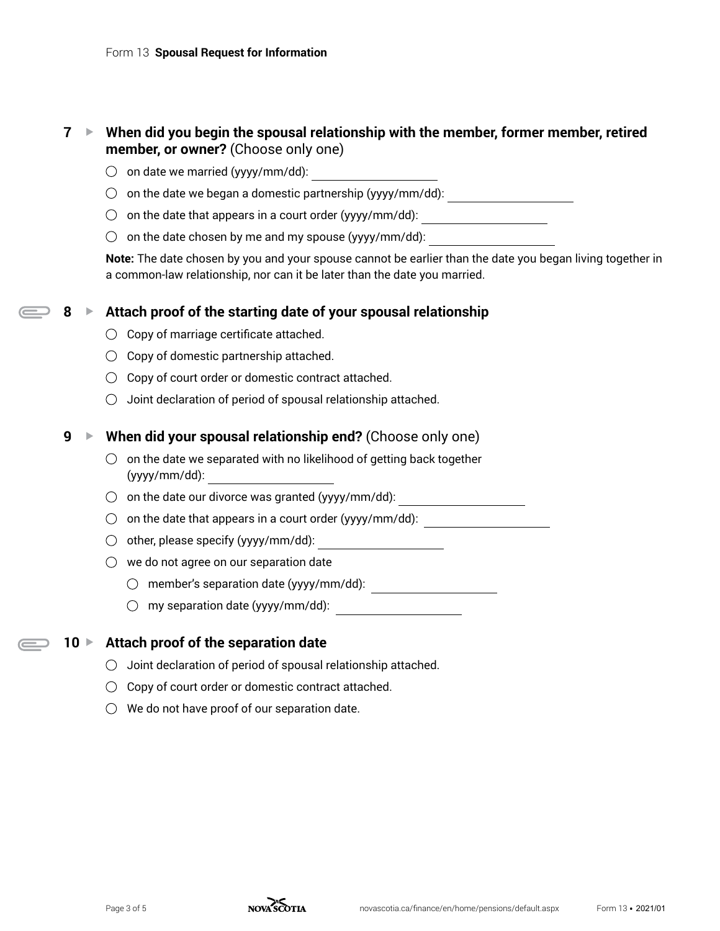# **7 ► When did you begin the spousal relationship with the member, former member, retired member, or owner?** (Choose only one)

- $\bigcirc$  on date we married (yyyy/mm/dd):
- $\bigcirc$  on the date we began a domestic partnership (yyyy/mm/dd): \_\_\_\_\_\_\_\_\_\_\_\_\_\_\_\_\_\_\_\_\_
- on the date that appears in a court order (yyyy/mm/dd):
- $\bigcirc$  on the date chosen by me and my spouse (yyyy/mm/dd):

**Note:** The date chosen by you and your spouse cannot be earlier than the date you began living together in a common-law relationship, nor can it be later than the date you married.

#### **8** ► Attach proof of the starting date of your spousal relationship

- $\bigcirc$  Copy of marriage certificate attached.
- $\bigcirc$  Copy of domestic partnership attached.
- $\bigcirc$  Copy of court order or domestic contract attached.
- $\bigcirc$  Joint declaration of period of spousal relationship attached.

## **9** ► When did your spousal relationship end? (Choose only one)

- $\bigcirc$  on the date we separated with no likelihood of getting back together (yyyy/mm/dd):
- $\bigcirc$  on the date our divorce was granted (yyyy/mm/dd): \_\_\_\_\_\_\_\_\_\_\_\_\_\_\_\_\_\_\_\_\_\_\_\_
- on the date that appears in a court order (yyyy/mm/dd):
- other, please specify (yyyy/mm/dd):
- $\bigcirc$  we do not agree on our separation date
	- $\bigcirc$  member's separation date (yyyy/mm/dd):  $\overline{\qquad \qquad }$
	- $\bigcirc$  my separation date (yyyy/mm/dd):

# **10** ► Attach proof of the separation date

- $\bigcirc$  Joint declaration of period of spousal relationship attached.
- $\bigcirc$  Copy of court order or domestic contract attached.
- $\bigcirc$  We do not have proof of our separation date.

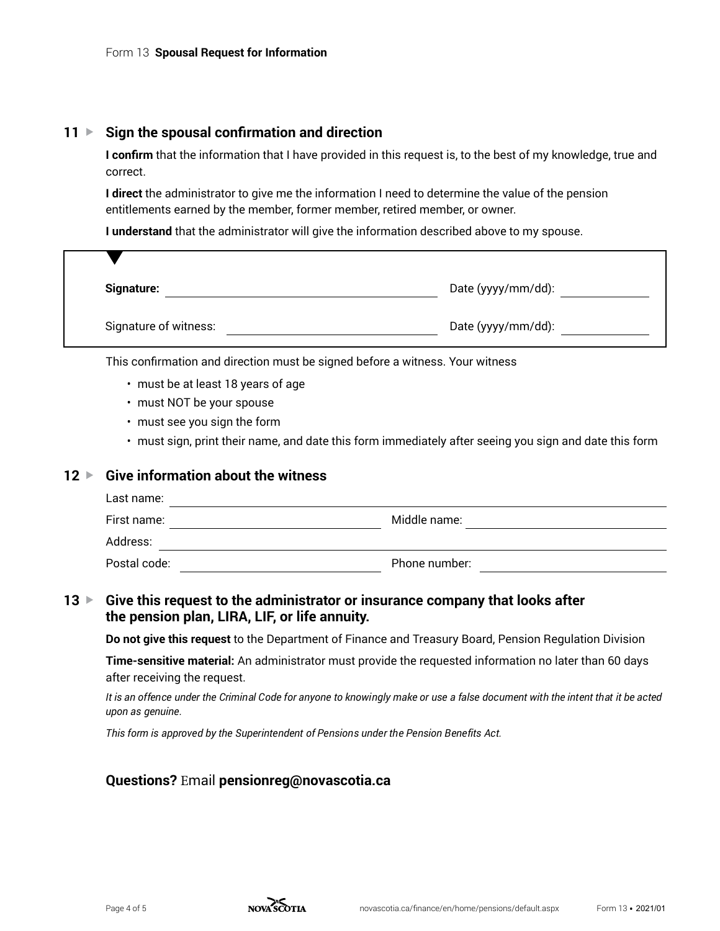## **11** ► Sign the spousal confirmation and direction

**I confirm** that the information that I have provided in this request is, to the best of my knowledge, true and correct.

**I direct** the administrator to give me the information I need to determine the value of the pension entitlements earned by the member, former member, retired member, or owner.

**I understand** that the administrator will give the information described above to my spouse.

| <b>Signature:</b>     | Date (yyyy/mm/dd): |
|-----------------------|--------------------|
| Signature of witness: | Date (yyyy/mm/dd): |

This confirmation and direction must be signed before a witness. Your witness

- must be at least 18 years of age
- must NOT be your spouse
- must see you sign the form
- must sign, print their name, and date this form immediately after seeing you sign and date this form

#### **12** ► Give information about the witness

| Postal code: | Phone number: |  |
|--------------|---------------|--|
| Address:     |               |  |
| First name:  | Middle name:  |  |
| Last name:   |               |  |

# **13** ► Give this request to the administrator or insurance company that looks after **the pension plan, LIRA, LIF, or life annuity.**

**Do not give this request** to the Department of Finance and Treasury Board, Pension Regulation Division

**Time-sensitive material:** An administrator must provide the requested information no later than 60 days after receiving the request.

*It is an offence under the Criminal Code for anyone to knowingly make or use a false document with the intent that it be acted upon as genuine.*

*This form is approved by the Superintendent of Pensions under the Pension Benefits Act.*

#### **Questions?** Email **pensionreg@novascotia.ca**